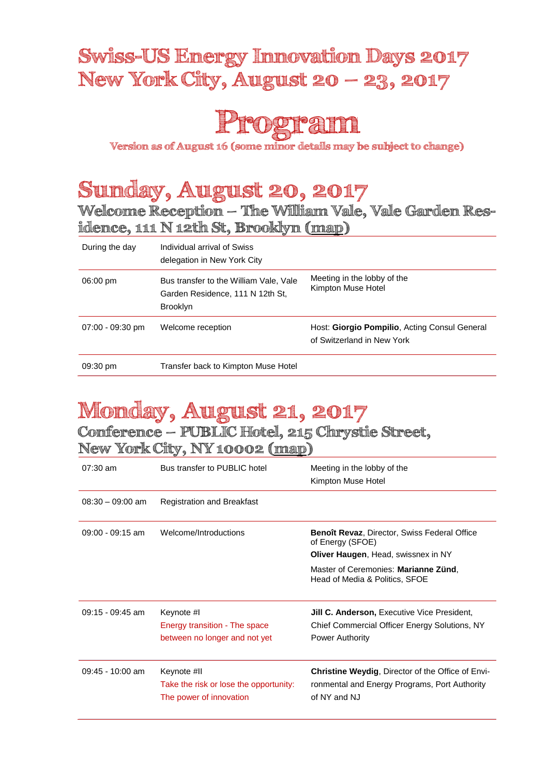### **Swiss-US Energy Innovation Days 2017 New York City, August 20 – 23, 2017**



**Version as of August 16 (some minor details may be subject to change)**

# **Sunday, August 20, 2017**

**Welcome Reception – The William Vale, Vale Garden Residence, 111 N 12th St, Brooklyn [\(map\)](https://www.google.ch/maps/place/The+William+Vale/@40.7123927,-73.9792942,13.79z/data=!4m5!3m4!1s0x0:0xcaae4e81d62d5e0d!8m2!3d40.722283!4d-73.956691)**

| During the day     | Individual arrival of Swiss<br>delegation in New York City                                    |                                                                             |
|--------------------|-----------------------------------------------------------------------------------------------|-----------------------------------------------------------------------------|
| $06:00 \text{ pm}$ | Bus transfer to the William Vale, Vale<br>Garden Residence, 111 N 12th St.<br><b>Brooklyn</b> | Meeting in the lobby of the<br>Kimpton Muse Hotel                           |
| $07:00 - 09:30$ pm | Welcome reception                                                                             | Host: Giorgio Pompilio, Acting Consul General<br>of Switzerland in New York |
| 09:30 pm           | Transfer back to Kimpton Muse Hotel                                                           |                                                                             |

# **Monday, August 21, 2017**

**Conference – PUBLIC Hotel, 215 Chrystie Street,**

#### **New York City, NY 10002 [\(map\)](https://www.google.ch/maps/place/PUBLIC/@40.7230441,-73.9935435,15.25z/data=!4m5!3m4!1s0x0:0x9c45c71d0bc40ebc!8m2!3d40.7230707!4d-73.9920289)**

| $07:30 \text{ am}$ | Bus transfer to PUBLIC hotel                                                     | Meeting in the lobby of the<br>Kimpton Muse Hotel                                                                         |
|--------------------|----------------------------------------------------------------------------------|---------------------------------------------------------------------------------------------------------------------------|
| $08:30 - 09:00$ am | <b>Registration and Breakfast</b>                                                |                                                                                                                           |
| $09:00 - 09:15$ am | Welcome/Introductions                                                            | <b>Benoît Revaz, Director, Swiss Federal Office</b><br>of Energy (SFOE)<br><b>Oliver Haugen, Head, swissnex in NY</b>     |
|                    |                                                                                  | Master of Ceremonies: Marianne Zünd,<br>Head of Media & Politics, SFOE                                                    |
| 09:15 - 09:45 am   | Keynote #I<br>Energy transition - The space<br>between no longer and not yet     | <b>Jill C. Anderson, Executive Vice President,</b><br>Chief Commercial Officer Energy Solutions, NY<br>Power Authority    |
| $09:45 - 10:00$ am | Keynote #II<br>Take the risk or lose the opportunity:<br>The power of innovation | <b>Christine Weydig, Director of the Office of Envi-</b><br>ronmental and Energy Programs, Port Authority<br>of NY and NJ |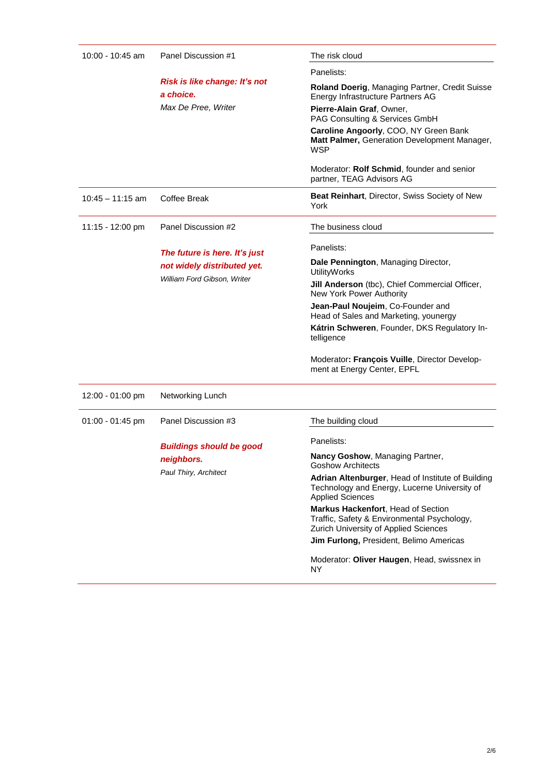| 10:00 - 10:45 am<br>Panel Discussion #1<br>a choice.<br>Max De Pree, Writer |                                                                                             | The risk cloud                                                                                                                                     |
|-----------------------------------------------------------------------------|---------------------------------------------------------------------------------------------|----------------------------------------------------------------------------------------------------------------------------------------------------|
|                                                                             |                                                                                             | Panelists:                                                                                                                                         |
|                                                                             | Risk is like change: It's not                                                               | Roland Doerig, Managing Partner, Credit Suisse<br>Energy Infrastructure Partners AG<br>Pierre-Alain Graf, Owner,<br>PAG Consulting & Services GmbH |
|                                                                             |                                                                                             | Caroline Angoorly, COO, NY Green Bank<br>Matt Palmer, Generation Development Manager,<br><b>WSP</b>                                                |
|                                                                             |                                                                                             | Moderator: Rolf Schmid, founder and senior<br>partner, TEAG Advisors AG                                                                            |
| $10:45 - 11:15$ am                                                          | <b>Coffee Break</b>                                                                         | <b>Beat Reinhart, Director, Swiss Society of New</b><br>York                                                                                       |
| 11:15 - 12:00 pm                                                            | Panel Discussion #2                                                                         | The business cloud                                                                                                                                 |
|                                                                             | The future is here. It's just<br>not widely distributed yet.<br>William Ford Gibson, Writer | Panelists:                                                                                                                                         |
|                                                                             |                                                                                             | Dale Pennington, Managing Director,<br><b>UtilityWorks</b>                                                                                         |
|                                                                             |                                                                                             | Jill Anderson (tbc), Chief Commercial Officer,<br>New York Power Authority                                                                         |
|                                                                             |                                                                                             | Jean-Paul Noujeim, Co-Founder and<br>Head of Sales and Marketing, younergy                                                                         |
|                                                                             |                                                                                             | Kátrin Schweren, Founder, DKS Regulatory In-<br>telligence                                                                                         |
|                                                                             |                                                                                             | Moderator: François Vuille, Director Develop-<br>ment at Energy Center, EPFL                                                                       |
| 12:00 - 01:00 pm                                                            | Networking Lunch                                                                            |                                                                                                                                                    |
| 01:00 - 01:45 pm                                                            | Panel Discussion #3                                                                         | The building cloud                                                                                                                                 |
|                                                                             | <b>Buildings should be good</b>                                                             | Panelists:                                                                                                                                         |
|                                                                             | neighbors.                                                                                  | Nancy Goshow, Managing Partner,<br><b>Goshow Architects</b>                                                                                        |
|                                                                             | Paul Thiry, Architect                                                                       | Adrian Altenburger, Head of Institute of Building<br>Technology and Energy, Lucerne University of<br><b>Applied Sciences</b>                       |
|                                                                             |                                                                                             | Markus Hackenfort, Head of Section<br>Traffic, Safety & Environmental Psychology,<br>Zurich University of Applied Sciences                         |
|                                                                             |                                                                                             | Jim Furlong, President, Belimo Americas                                                                                                            |
|                                                                             |                                                                                             | Moderator: Oliver Haugen, Head, swissnex in<br>NY.                                                                                                 |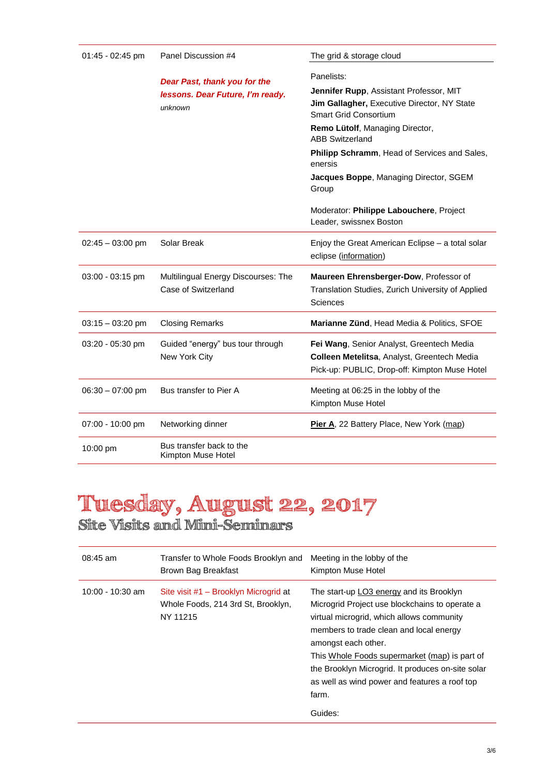| $01:45 - 02:45$ pm | Panel Discussion #4                                                         | The grid & storage cloud                                                                                                                                                                                                                                                                                                                                                                     |
|--------------------|-----------------------------------------------------------------------------|----------------------------------------------------------------------------------------------------------------------------------------------------------------------------------------------------------------------------------------------------------------------------------------------------------------------------------------------------------------------------------------------|
|                    | Dear Past, thank you for the<br>lessons. Dear Future, I'm ready.<br>unknown | Panelists:<br>Jennifer Rupp, Assistant Professor, MIT<br>Jim Gallagher, Executive Director, NY State<br><b>Smart Grid Consortium</b><br>Remo Lütolf, Managing Director,<br><b>ABB Switzerland</b><br><b>Philipp Schramm, Head of Services and Sales,</b><br>enersis<br>Jacques Boppe, Managing Director, SGEM<br>Group<br>Moderator: Philippe Labouchere, Project<br>Leader, swissnex Boston |
| $02:45 - 03:00$ pm | Solar Break                                                                 | Enjoy the Great American Eclipse - a total solar<br>eclipse (information)                                                                                                                                                                                                                                                                                                                    |
| 03:00 - 03:15 pm   | Multilingual Energy Discourses: The<br>Case of Switzerland                  | Maureen Ehrensberger-Dow, Professor of<br>Translation Studies, Zurich University of Applied<br>Sciences                                                                                                                                                                                                                                                                                      |
| $03:15 - 03:20$ pm | <b>Closing Remarks</b>                                                      | Marianne Zünd, Head Media & Politics, SFOE                                                                                                                                                                                                                                                                                                                                                   |
| 03:20 - 05:30 pm   | Guided "energy" bus tour through<br>New York City                           | Fei Wang, Senior Analyst, Greentech Media<br>Colleen Metelitsa, Analyst, Greentech Media<br>Pick-up: PUBLIC, Drop-off: Kimpton Muse Hotel                                                                                                                                                                                                                                                    |
| $06:30 - 07:00$ pm | Bus transfer to Pier A                                                      | Meeting at 06:25 in the lobby of the<br>Kimpton Muse Hotel                                                                                                                                                                                                                                                                                                                                   |
| 07:00 - 10:00 pm   | Networking dinner                                                           | Pier A, 22 Battery Place, New York (map)                                                                                                                                                                                                                                                                                                                                                     |
| 10:00 pm           | Bus transfer back to the<br>Kimpton Muse Hotel                              |                                                                                                                                                                                                                                                                                                                                                                                              |

### **Tuesday, August 22, 2017 Site Visits and Mini-Seminars**

| $08:45$ am         | Transfer to Whole Foods Brooklyn and<br>Brown Bag Breakfast                             | Meeting in the lobby of the<br>Kimpton Muse Hotel                                                                                                                                                                                                                                                                                                                                    |
|--------------------|-----------------------------------------------------------------------------------------|--------------------------------------------------------------------------------------------------------------------------------------------------------------------------------------------------------------------------------------------------------------------------------------------------------------------------------------------------------------------------------------|
| $10:00 - 10:30$ am | Site visit #1 – Brooklyn Microgrid at<br>Whole Foods, 214 3rd St, Brooklyn,<br>NY 11215 | The start-up LO3 energy and its Brooklyn<br>Microgrid Project use blockchains to operate a<br>virtual microgrid, which allows community<br>members to trade clean and local energy<br>amongst each other.<br>This Whole Foods supermarket (map) is part of<br>the Brooklyn Microgrid. It produces on-site solar<br>as well as wind power and features a roof top<br>farm.<br>Guides: |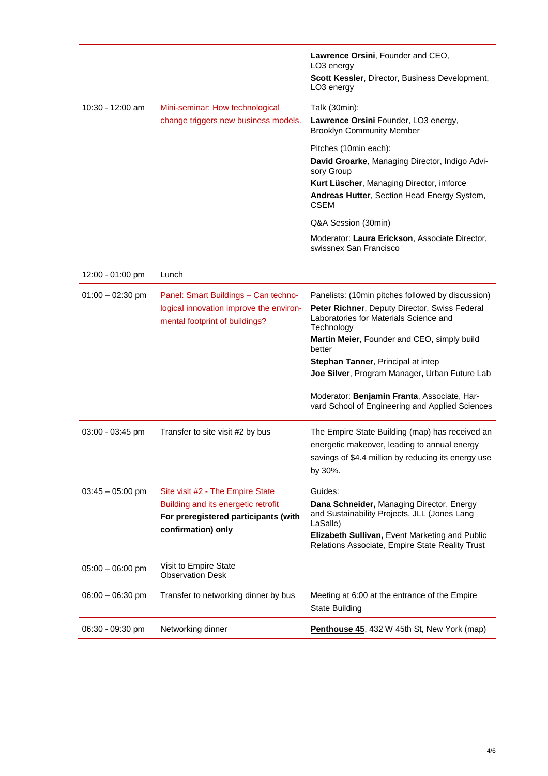|                    |                                                                           | Lawrence Orsini, Founder and CEO,<br>LO <sub>3</sub> energy                                           |
|--------------------|---------------------------------------------------------------------------|-------------------------------------------------------------------------------------------------------|
|                    |                                                                           | Scott Kessler, Director, Business Development,<br>LO <sub>3</sub> energy                              |
| 10:30 - 12:00 am   | Mini-seminar: How technological                                           | Talk (30min):                                                                                         |
|                    | change triggers new business models.                                      | Lawrence Orsini Founder, LO3 energy,<br><b>Brooklyn Community Member</b>                              |
|                    |                                                                           | Pitches (10min each):                                                                                 |
|                    |                                                                           | David Groarke, Managing Director, Indigo Advi-<br>sory Group                                          |
|                    |                                                                           | Kurt Lüscher, Managing Director, imforce                                                              |
|                    |                                                                           | Andreas Hutter, Section Head Energy System,<br><b>CSEM</b>                                            |
|                    |                                                                           | Q&A Session (30min)                                                                                   |
|                    |                                                                           | Moderator: Laura Erickson, Associate Director,<br>swissnex San Francisco                              |
| 12:00 - 01:00 pm   | Lunch                                                                     |                                                                                                       |
| $01:00 - 02:30$ pm | Panel: Smart Buildings - Can techno-                                      | Panelists: (10min pitches followed by discussion)                                                     |
|                    | logical innovation improve the environ-<br>mental footprint of buildings? | Peter Richner, Deputy Director, Swiss Federal<br>Laboratories for Materials Science and<br>Technology |
|                    |                                                                           | Martin Meier, Founder and CEO, simply build<br>better                                                 |
|                    |                                                                           | Stephan Tanner, Principal at intep                                                                    |
|                    |                                                                           | Joe Silver, Program Manager, Urban Future Lab                                                         |
|                    |                                                                           | Moderator: Benjamin Franta, Associate, Har-<br>vard School of Engineering and Applied Sciences        |
| 03:00 - 03:45 pm   | Transfer to site visit #2 by bus                                          | The <b>Empire State Building (map)</b> has received an                                                |
|                    |                                                                           | energetic makeover, leading to annual energy                                                          |
|                    |                                                                           | savings of \$4.4 million by reducing its energy use                                                   |
|                    |                                                                           | by 30%.                                                                                               |
| $03:45 - 05:00$ pm | Site visit #2 - The Empire State                                          | Guides:                                                                                               |
|                    | Building and its energetic retrofit                                       | Dana Schneider, Managing Director, Energy                                                             |
|                    | For preregistered participants (with                                      | and Sustainability Projects, JLL (Jones Lang<br>LaSalle)                                              |
|                    | confirmation) only                                                        | Elizabeth Sullivan, Event Marketing and Public<br>Relations Associate, Empire State Reality Trust     |
| $05:00 - 06:00$ pm | Visit to Empire State<br><b>Observation Desk</b>                          |                                                                                                       |
| $06:00 - 06:30$ pm | Transfer to networking dinner by bus                                      | Meeting at 6:00 at the entrance of the Empire<br><b>State Building</b>                                |
| 06:30 - 09:30 pm   | Networking dinner                                                         | Penthouse 45, 432 W 45th St, New York (map)                                                           |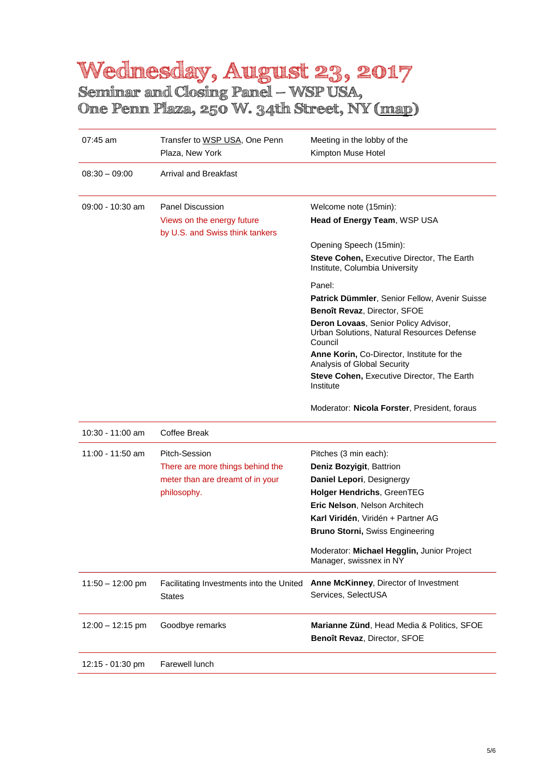### **Wednesday, August 23, 2017 Seminar and Closing Panel – WSP USA,**

**One Penn Plaza, 250 W. 34th Street, NY [\(map\)](https://www.google.ch/maps/place/One+Penn+Plaza,+New+York,+NY+10119,+USA/@40.751389,-73.9952447,17z/data=!3m1!4b1!4m5!3m4!1s0x89c259ae744551b7:0x42b8a6952f787951!8m2!3d40.751389!4d-73.993056)**

| 07:45 am           | Transfer to WSP USA, One Penn<br>Plaza, New York      | Meeting in the lobby of the<br>Kimpton Muse Hotel                                             |
|--------------------|-------------------------------------------------------|-----------------------------------------------------------------------------------------------|
| $08:30 - 09:00$    | <b>Arrival and Breakfast</b>                          |                                                                                               |
| $09:00 - 10:30$ am | <b>Panel Discussion</b><br>Views on the energy future | Welcome note (15min):<br>Head of Energy Team, WSP USA                                         |
|                    | by U.S. and Swiss think tankers                       | Opening Speech (15min):                                                                       |
|                    |                                                       | Steve Cohen, Executive Director, The Earth<br>Institute, Columbia University                  |
|                    |                                                       | Panel:                                                                                        |
|                    |                                                       | Patrick Dümmler, Senior Fellow, Avenir Suisse<br>Benoît Revaz, Director, SFOE                 |
|                    |                                                       | Deron Lovaas, Senior Policy Advisor,<br>Urban Solutions, Natural Resources Defense<br>Council |
|                    |                                                       | Anne Korin, Co-Director, Institute for the<br>Analysis of Global Security                     |
|                    |                                                       | Steve Cohen, Executive Director, The Earth<br>Institute                                       |
|                    |                                                       | Moderator: Nicola Forster, President, foraus                                                  |
| 10:30 - 11:00 am   | Coffee Break                                          |                                                                                               |
| 11:00 - 11:50 am   | Pitch-Session<br>There are more things behind the     | Pitches (3 min each):<br>Deniz Bozyigit, Battrion                                             |
|                    | meter than are dreamt of in your                      | Daniel Lepori, Designergy                                                                     |
|                    | philosophy.                                           | <b>Holger Hendrichs, GreenTEG</b>                                                             |
|                    |                                                       | Eric Nelson, Nelson Architech                                                                 |
|                    |                                                       | Karl Viridén, Viridén + Partner AG                                                            |
|                    |                                                       | <b>Bruno Storni, Swiss Engineering</b>                                                        |
|                    |                                                       | Moderator: Michael Hegglin, Junior Project<br>Manager, swissnex in NY                         |
| $11:50 - 12:00$ pm | Facilitating Investments into the United<br>States    | Anne McKinney, Director of Investment<br>Services, SelectUSA                                  |
| $12:00 - 12:15$ pm | Goodbye remarks                                       | Marianne Zünd, Head Media & Politics, SFOE<br>Benoît Revaz, Director, SFOE                    |
| 12:15 - 01:30 pm   | Farewell lunch                                        |                                                                                               |